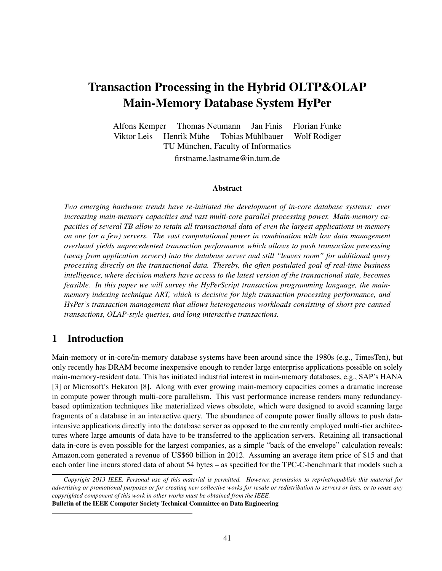# Transaction Processing in the Hybrid OLTP&OLAP Main-Memory Database System HyPer

Alfons Kemper Thomas Neumann Jan Finis Florian Funke Viktor Leis Henrik Mühe Tobias Mühlbauer Wolf Rödiger TU München, Faculty of Informatics firstname.lastname@in.tum.de

#### Abstract

*Two emerging hardware trends have re-initiated the development of in-core database systems: ever increasing main-memory capacities and vast multi-core parallel processing power. Main-memory capacities of several TB allow to retain all transactional data of even the largest applications in-memory on one (or a few) servers. The vast computational power in combination with low data management overhead yields unprecedented transaction performance which allows to push transaction processing (away from application servers) into the database server and still "leaves room" for additional query processing directly on the transactional data. Thereby, the often postulated goal of real-time business intelligence, where decision makers have access to the latest version of the transactional state, becomes feasible. In this paper we will survey the HyPerScript transaction programming language, the mainmemory indexing technique ART, which is decisive for high transaction processing performance, and HyPer's transaction management that allows heterogeneous workloads consisting of short pre-canned transactions, OLAP-style queries, and long interactive transactions.*

#### 1 Introduction

Main-memory or in-core/in-memory database systems have been around since the 1980s (e.g., TimesTen), but only recently has DRAM become inexpensive enough to render large enterprise applications possible on solely main-memory-resident data. This has initiated industrial interest in main-memory databases, e.g., SAP's HANA [3] or Microsoft's Hekaton [8]. Along with ever growing main-memory capacities comes a dramatic increase in compute power through multi-core parallelism. This vast performance increase renders many redundancybased optimization techniques like materialized views obsolete, which were designed to avoid scanning large fragments of a database in an interactive query. The abundance of compute power finally allows to push dataintensive applications directly into the database server as opposed to the currently employed multi-tier architectures where large amounts of data have to be transferred to the application servers. Retaining all transactional data in-core is even possible for the largest companies, as a simple "back of the envelope" calculation reveals: Amazon.com generated a revenue of US\$60 billion in 2012. Assuming an average item price of \$15 and that each order line incurs stored data of about 54 bytes – as specified for the TPC-C-benchmark that models such a

*Copyright 2013 IEEE. Personal use of this material is permitted. However, permission to reprint/republish this material for advertising or promotional purposes or for creating new collective works for resale or redistribution to servers or lists, or to reuse any copyrighted component of this work in other works must be obtained from the IEEE.* Bulletin of the IEEE Computer Society Technical Committee on Data Engineering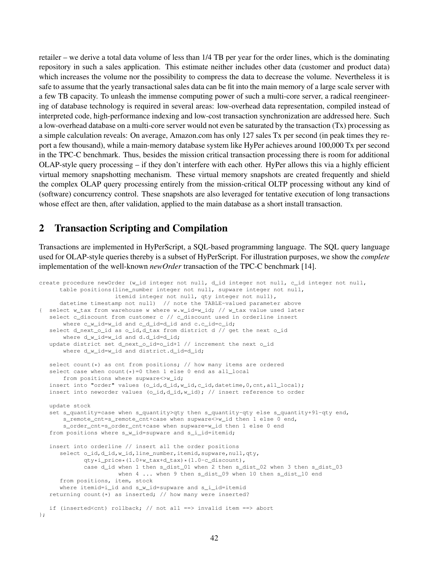retailer – we derive a total data volume of less than 1/4 TB per year for the order lines, which is the dominating repository in such a sales application. This estimate neither includes other data (customer and product data) which increases the volume nor the possibility to compress the data to decrease the volume. Nevertheless it is safe to assume that the yearly transactional sales data can be fit into the main memory of a large scale server with a few TB capacity. To unleash the immense computing power of such a multi-core server, a radical reengineering of database technology is required in several areas: low-overhead data representation, compiled instead of interpreted code, high-performance indexing and low-cost transaction synchronization are addressed here. Such a low-overhead database on a multi-core server would not even be saturated by the transaction (Tx) processing as a simple calculation reveals: On average, Amazon.com has only 127 sales Tx per second (in peak times they report a few thousand), while a main-memory database system like HyPer achieves around 100,000 Tx per second in the TPC-C benchmark. Thus, besides the mission critical transaction processing there is room for additional OLAP-style query processing – if they don't interfere with each other. HyPer allows this via a highly efficient virtual memory snapshotting mechanism. These virtual memory snapshots are created frequently and shield the complex OLAP query processing entirely from the mission-critical OLTP processing without any kind of (software) concurrency control. These snapshots are also leveraged for tentative execution of long transactions whose effect are then, after validation, applied to the main database as a short install transaction.

### 2 Transaction Scripting and Compilation

Transactions are implemented in HyPerScript, a SQL-based programming language. The SQL query language used for OLAP-style queries thereby is a subset of HyPerScript. For illustration purposes, we show the *complete* implementation of the well-known *newOrder* transaction of the TPC-C benchmark [14].

```
create procedure newOrder (w_id integer not null, d_id integer not null, c_id integer not null,
      table positions(line_number integer not null, supware integer not null,
                     itemid integer not null, qty integer not null),
     datetime timestamp not null) // note the TABLE-valued parameter above
  select w_tax from warehouse w where w.w_id=w_id; // w_tax value used later
   select c_discount from customer c // c_discount used in orderline insert
      where c_w_id=w_id and c_d_id=d_id and c.c_id=c_id;
   select d_next_o_id as o_id, d_tax from district d // get the next o_id
      where d_w_id=w_id and d.d_id=d_id;
   update district set d_next_o_id=o_id+1 // increment the next o_id
      where d w id=w id and district.d id=d id;
   select count (*) as cnt from positions; // how many items are ordered
   select case when count (*)=0 then 1 else 0 end as all local
      from positions where supware<>w_id;
   insert into "order" values (o_id,d_id,w_id,c_id,datetime,0,cnt,all_local);
   insert into neworder values (o_id,d_id,w_id); // insert reference to order
   update stock
   set s_quantity=case when s_quantity>qty then s_quantity-qty else s_quantity+91-qty end,
      s_remote_cnt=s_remote_cnt+case when supware<>w_id then 1 else 0 end,
      s_order_cnt=s_order_cnt+case when supware=w_id then 1 else 0 end
   from positions where s_w_id=supware and s_i_id=itemid;
   insert into orderline // insert all the order positions
      select o_id,d_id,w_id,line_number,itemid,supware,null,qty,
             qty*i_price*(1.0+w_tax+d_tax)*(1.0-c_discount),
            case d_id when 1 then s_dist_01 when 2 then s_dist_02 when 3 then s_dist_03
                      when 4 ... when 9 then s_dist_09 when 10 then s_dist_10 end
      from positions, item, stock
      where itemid=i_id and s_w_id=supware and s_i_id=itemid
   returning count (*) as inserted; // how many were inserted?
   if (inserted<cnt) rollback; // not all ==> invalid item ==> abort
};
```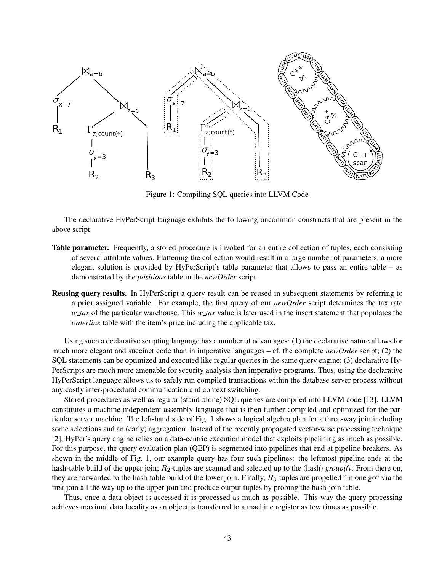

Figure 1: Compiling SQL queries into LLVM Code

The declarative HyPerScript language exhibits the following uncommon constructs that are present in the above script:

- Table parameter. Frequently, a stored procedure is invoked for an entire collection of tuples, each consisting of several attribute values. Flattening the collection would result in a large number of parameters; a more elegant solution is provided by HyPerScript's table parameter that allows to pass an entire table – as demonstrated by the *positions* table in the *newOrder* script.
- Reusing query results. In HyPerScript a query result can be reused in subsequent statements by referring to a prior assigned variable. For example, the first query of our *newOrder* script determines the tax rate *w tax* of the particular warehouse. This *w tax* value is later used in the insert statement that populates the *orderline* table with the item's price including the applicable tax.

Using such a declarative scripting language has a number of advantages: (1) the declarative nature allows for much more elegant and succinct code than in imperative languages – cf. the complete *newOrder* script; (2) the SQL statements can be optimized and executed like regular queries in the same query engine; (3) declarative Hy-PerScripts are much more amenable for security analysis than imperative programs. Thus, using the declarative HyPerScript language allows us to safely run compiled transactions within the database server process without any costly inter-procedural communication and context switching.

Stored procedures as well as regular (stand-alone) SQL queries are compiled into LLVM code [13]. LLVM constitutes a machine independent assembly language that is then further compiled and optimized for the particular server machine. The left-hand side of Fig. 1 shows a logical algebra plan for a three-way join including some selections and an (early) aggregation. Instead of the recently propagated vector-wise processing technique [2], HyPer's query engine relies on a data-centric execution model that exploits pipelining as much as possible. For this purpose, the query evaluation plan (QEP) is segmented into pipelines that end at pipeline breakers. As shown in the middle of Fig. 1, our example query has four such pipelines: the leftmost pipeline ends at the hash-table build of the upper join; *R*2-tuples are scanned and selected up to the (hash) *groupify*. From there on, they are forwarded to the hash-table build of the lower join. Finally,  $R_3$ -tuples are propelled "in one go" via the first join all the way up to the upper join and produce output tuples by probing the hash-join table.

Thus, once a data object is accessed it is processed as much as possible. This way the query processing achieves maximal data locality as an object is transferred to a machine register as few times as possible.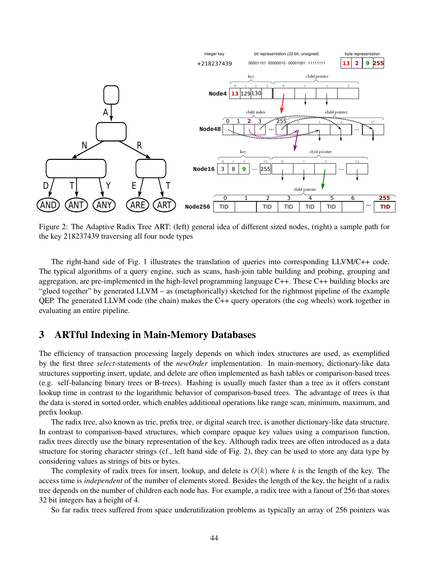

Figure 2: The Adaptive Radix Tree ART: (left) general idea of different sized nodes, (right) a sample path for the key 218237439 traversing all four node types

The right-hand side of Fig. 1 illustrates the translation of queries into corresponding LLVM/C++ code. The typical algorithms of a query engine, such as scans, hash-join table building and probing, grouping and aggregation, are pre-implemented in the high-level programming language C++. These C++ building blocks are "glued together" by generated LLVM – as (metaphorically) sketched for the rightmost pipeline of the example QEP. The generated LLVM code (the chain) makes the C++ query operators (the cog wheels) work together in evaluating an entire pipeline.

#### 3 ARTful Indexing in Main-Memory Databases

The efficiency of transaction processing largely depends on which index structures are used, as exemplified by the first three *select*-statements of the *newOrder* implementation. In main-memory, dictionary-like data structures supporting insert, update, and delete are often implemented as hash tables or comparison-based trees (e.g. self-balancing binary trees or B-trees). Hashing is usually much faster than a tree as it offers constant lookup time in contrast to the logarithmic behavior of comparison-based trees. The advantage of trees is that the data is stored in sorted order, which enables additional operations like range scan, minimum, maximum, and prefix lookup.

The radix tree, also known as trie, prefix tree, or digital search tree, is another dictionary-like data structure. In contrast to comparison-based structures, which compare opaque key values using a comparison function, radix trees directly use the binary representation of the key. Although radix trees are often introduced as a data structure for storing character strings (cf., left hand side of Fig. 2), they can be used to store any data type by considering values as strings of bits or bytes.

The complexity of radix trees for insert, lookup, and delete is  $O(k)$  where k is the length of the key. The access time is *independent* of the number of elements stored. Besides the length of the key, the height of a radix tree depends on the number of children each node has. For example, a radix tree with a fanout of 256 that stores 32 bit integers has a height of 4.

So far radix trees suffered from space underutilization problems as typically an array of 256 pointers was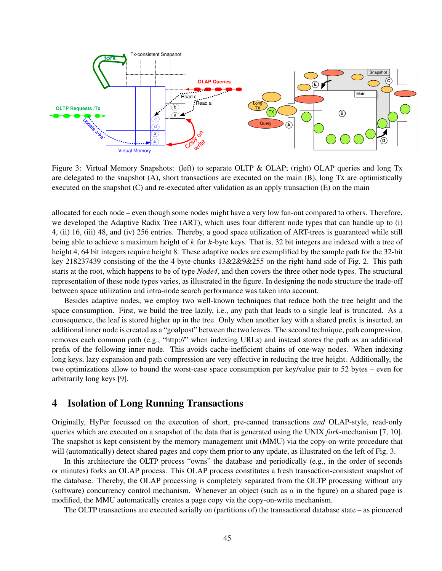

Figure 3: Virtual Memory Snapshots: (left) to separate OLTP & OLAP; (right) OLAP queries and long Tx are delegated to the snapshot (A), short transactions are executed on the main (B), long Tx are optimistically executed on the snapshot (C) and re-executed after validation as an apply transaction (E) on the main

allocated for each node – even though some nodes might have a very low fan-out compared to others. Therefore, we developed the Adaptive Radix Tree (ART), which uses four different node types that can handle up to (i) 4, (ii) 16, (iii) 48, and (iv) 256 entries. Thereby, a good space utilization of ART-trees is guaranteed while still being able to achieve a maximum height of *k* for *k*-byte keys. That is, 32 bit integers are indexed with a tree of height 4, 64 bit integers require height 8. These adaptive nodes are exemplified by the sample path for the 32-bit key 218237439 consisting of the the 4 byte-chunks 13&2&9&255 on the right-hand side of Fig. 2. This path starts at the root, which happens to be of type *Node4*, and then covers the three other node types. The structural representation of these node types varies, as illustrated in the figure. In designing the node structure the trade-off between space utilization and intra-node search performance was taken into account.

Besides adaptive nodes, we employ two well-known techniques that reduce both the tree height and the space consumption. First, we build the tree lazily, i.e., any path that leads to a single leaf is truncated. As a consequence, the leaf is stored higher up in the tree. Only when another key with a shared prefix is inserted, an additional inner node is created as a "goalpost" between the two leaves. The second technique, path compression, removes each common path (e.g., "http://" when indexing URLs) and instead stores the path as an additional prefix of the following inner node. This avoids cache-inefficient chains of one-way nodes. When indexing long keys, lazy expansion and path compression are very effective in reducing the tree height. Additionally, the two optimizations allow to bound the worst-case space consumption per key/value pair to 52 bytes – even for arbitrarily long keys [9].

#### 4 Isolation of Long Running Transactions

Originally, HyPer focussed on the execution of short, pre-canned transactions *and* OLAP-style, read-only queries which are executed on a snapshot of the data that is generated using the UNIX *fork*-mechanism [7, 10]. The snapshot is kept consistent by the memory management unit (MMU) via the copy-on-write procedure that will (automatically) detect shared pages and copy them prior to any update, as illustrated on the left of Fig. 3.

In this architecture the OLTP process "owns" the database and periodically (e.g., in the order of seconds or minutes) forks an OLAP process. This OLAP process constitutes a fresh transaction-consistent snapshot of the database. Thereby, the OLAP processing is completely separated from the OLTP processing without any (software) concurrency control mechanism. Whenever an object (such as *a* in the figure) on a shared page is modified, the MMU automatically creates a page copy via the copy-on-write mechanism.

The OLTP transactions are executed serially on (partitions of) the transactional database state – as pioneered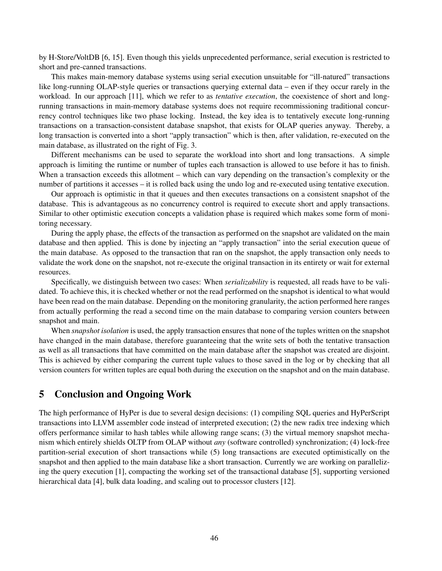by H-Store/VoltDB [6, 15]. Even though this yields unprecedented performance, serial execution is restricted to short and pre-canned transactions.

This makes main-memory database systems using serial execution unsuitable for "ill-natured" transactions like long-running OLAP-style queries or transactions querying external data – even if they occur rarely in the workload. In our approach [11], which we refer to as *tentative execution*, the coexistence of short and longrunning transactions in main-memory database systems does not require recommissioning traditional concurrency control techniques like two phase locking. Instead, the key idea is to tentatively execute long-running transactions on a transaction-consistent database snapshot, that exists for OLAP queries anyway. Thereby, a long transaction is converted into a short "apply transaction" which is then, after validation, re-executed on the main database, as illustrated on the right of Fig. 3.

Different mechanisms can be used to separate the workload into short and long transactions. A simple approach is limiting the runtime or number of tuples each transaction is allowed to use before it has to finish. When a transaction exceeds this allotment – which can vary depending on the transaction's complexity or the number of partitions it accesses – it is rolled back using the undo log and re-executed using tentative execution.

Our approach is optimistic in that it queues and then executes transactions on a consistent snapshot of the database. This is advantageous as no concurrency control is required to execute short and apply transactions. Similar to other optimistic execution concepts a validation phase is required which makes some form of monitoring necessary.

During the apply phase, the effects of the transaction as performed on the snapshot are validated on the main database and then applied. This is done by injecting an "apply transaction" into the serial execution queue of the main database. As opposed to the transaction that ran on the snapshot, the apply transaction only needs to validate the work done on the snapshot, not re-execute the original transaction in its entirety or wait for external resources.

Specifically, we distinguish between two cases: When *serializability* is requested, all reads have to be validated. To achieve this, it is checked whether or not the read performed on the snapshot is identical to what would have been read on the main database. Depending on the monitoring granularity, the action performed here ranges from actually performing the read a second time on the main database to comparing version counters between snapshot and main.

When *snapshot isolation* is used, the apply transaction ensures that none of the tuples written on the snapshot have changed in the main database, therefore guaranteeing that the write sets of both the tentative transaction as well as all transactions that have committed on the main database after the snapshot was created are disjoint. This is achieved by either comparing the current tuple values to those saved in the log or by checking that all version counters for written tuples are equal both during the execution on the snapshot and on the main database.

#### 5 Conclusion and Ongoing Work

The high performance of HyPer is due to several design decisions: (1) compiling SQL queries and HyPerScript transactions into LLVM assembler code instead of interpreted execution; (2) the new radix tree indexing which offers performance similar to hash tables while allowing range scans; (3) the virtual memory snapshot mechanism which entirely shields OLTP from OLAP without *any* (software controlled) synchronization; (4) lock-free partition-serial execution of short transactions while (5) long transactions are executed optimistically on the snapshot and then applied to the main database like a short transaction. Currently we are working on parallelizing the query execution [1], compacting the working set of the transactional database [5], supporting versioned hierarchical data [4], bulk data loading, and scaling out to processor clusters [12].